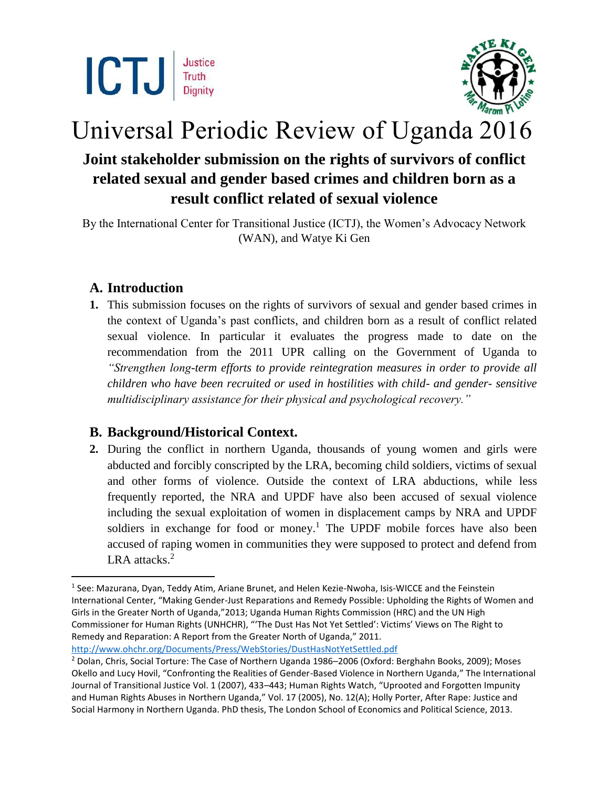



# Universal Periodic Review of Uganda 2016

## **Joint stakeholder submission on the rights of survivors of conflict related sexual and gender based crimes and children born as a result conflict related of sexual violence**

By the International Center for Transitional Justice (ICTJ), the Women's Advocacy Network (WAN), and Watye Ki Gen

## **A. Introduction**

 $\overline{a}$ 

**1.** This submission focuses on the rights of survivors of sexual and gender based crimes in the context of Uganda's past conflicts, and children born as a result of conflict related sexual violence. In particular it evaluates the progress made to date on the recommendation from the 2011 UPR calling on the Government of Uganda to *"Strengthen long-term efforts to provide reintegration measures in order to provide all children who have been recruited or used in hostilities with child- and gender- sensitive multidisciplinary assistance for their physical and psychological recovery."* 

## **B. Background/Historical Context.**

**2.** During the conflict in northern Uganda, thousands of young women and girls were abducted and forcibly conscripted by the LRA, becoming child soldiers, victims of sexual and other forms of violence. Outside the context of LRA abductions, while less frequently reported, the NRA and UPDF have also been accused of sexual violence including the sexual exploitation of women in displacement camps by NRA and UPDF soldiers in exchange for food or money.<sup>1</sup> The UPDF mobile forces have also been accused of raping women in communities they were supposed to protect and defend from LRA attacks.<sup>2</sup>

<sup>&</sup>lt;sup>1</sup> See: Mazurana, Dyan, Teddy Atim, Ariane Brunet, and Helen Kezie-Nwoha, Isis-WICCE and the Feinstein International Center, "Making Gender-Just Reparations and Remedy Possible: Upholding the Rights of Women and Girls in the Greater North of Uganda,"2013; Uganda Human Rights Commission (HRC) and the UN High Commissioner for Human Rights (UNHCHR), "'The Dust Has Not Yet Settled': Victims' Views on The Right to Remedy and Reparation: A Report from the Greater North of Uganda," 2011. <http://www.ohchr.org/Documents/Press/WebStories/DustHasNotYetSettled.pdf>

<sup>2</sup> Dolan, Chris, Social Torture: The Case of Northern Uganda 1986–2006 (Oxford: Berghahn Books, 2009); Moses Okello and Lucy Hovil, "Confronting the Realities of Gender-Based Violence in Northern Uganda," The International Journal of Transitional Justice Vol. 1 (2007), 433–443; Human Rights Watch, "Uprooted and Forgotten Impunity and Human Rights Abuses in Northern Uganda," Vol. 17 (2005), No. 12(A); Holly Porter, After Rape: Justice and Social Harmony in Northern Uganda. PhD thesis, The London School of Economics and Political Science, 2013.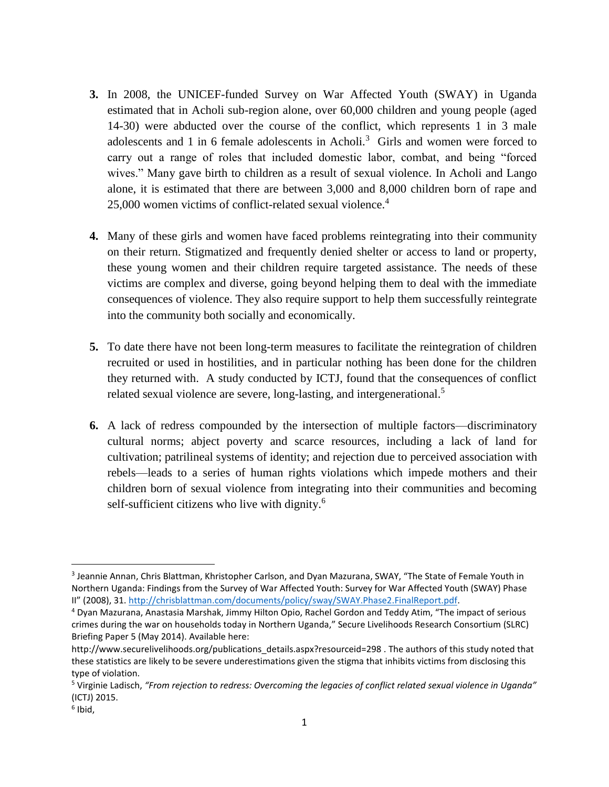- **3.** In 2008, the UNICEF-funded Survey on War Affected Youth (SWAY) in Uganda estimated that in Acholi sub-region alone, over 60,000 children and young people (aged 14-30) were abducted over the course of the conflict, which represents 1 in 3 male adolescents and 1 in 6 female adolescents in Acholi.<sup>3</sup> Girls and women were forced to carry out a range of roles that included domestic labor, combat, and being "forced wives." Many gave birth to children as a result of sexual violence. In Acholi and Lango alone, it is estimated that there are between 3,000 and 8,000 children born of rape and 25,000 women victims of conflict-related sexual violence.<sup>4</sup>
- **4.** Many of these girls and women have faced problems reintegrating into their community on their return. Stigmatized and frequently denied shelter or access to land or property, these young women and their children require targeted assistance. The needs of these victims are complex and diverse, going beyond helping them to deal with the immediate consequences of violence. They also require support to help them successfully reintegrate into the community both socially and economically.
- **5.** To date there have not been long-term measures to facilitate the reintegration of children recruited or used in hostilities, and in particular nothing has been done for the children they returned with. A study conducted by ICTJ, found that the consequences of conflict related sexual violence are severe, long-lasting, and intergenerational.<sup>5</sup>
- **6.** A lack of redress compounded by the intersection of multiple factors—discriminatory cultural norms; abject poverty and scarce resources, including a lack of land for cultivation; patrilineal systems of identity; and rejection due to perceived association with rebels—leads to a series of human rights violations which impede mothers and their children born of sexual violence from integrating into their communities and becoming self-sufficient citizens who live with dignity.<sup>6</sup>

 $\overline{\phantom{a}}$ 

<sup>&</sup>lt;sup>3</sup> Jeannie Annan, Chris Blattman, Khristopher Carlson, and Dyan Mazurana, SWAY, "The State of Female Youth in Northern Uganda: Findings from the Survey of War Affected Youth: Survey for War Affected Youth (SWAY) Phase II" (2008), 31. [http://chrisblattman.com/documents/policy/sway/SWAY.Phase2.FinalReport.pdf.](http://chrisblattman.com/documents/policy/sway/SWAY.Phase2.FinalReport.pdf)

<sup>4</sup> Dyan Mazurana, Anastasia Marshak, Jimmy Hilton Opio, Rachel Gordon and Teddy Atim, "The impact of serious crimes during the war on households today in Northern Uganda," Secure Livelihoods Research Consortium (SLRC) Briefing Paper 5 (May 2014). Available here:

http://www.securelivelihoods.org/publications\_details.aspx?resourceid=298 . The authors of this study noted that these statistics are likely to be severe underestimations given the stigma that inhibits victims from disclosing this type of violation.

<sup>5</sup> Virginie Ladisch, *"From rejection to redress: Overcoming the legacies of conflict related sexual violence in Uganda"*  (ICTJ) 2015.

<sup>6</sup> Ibid,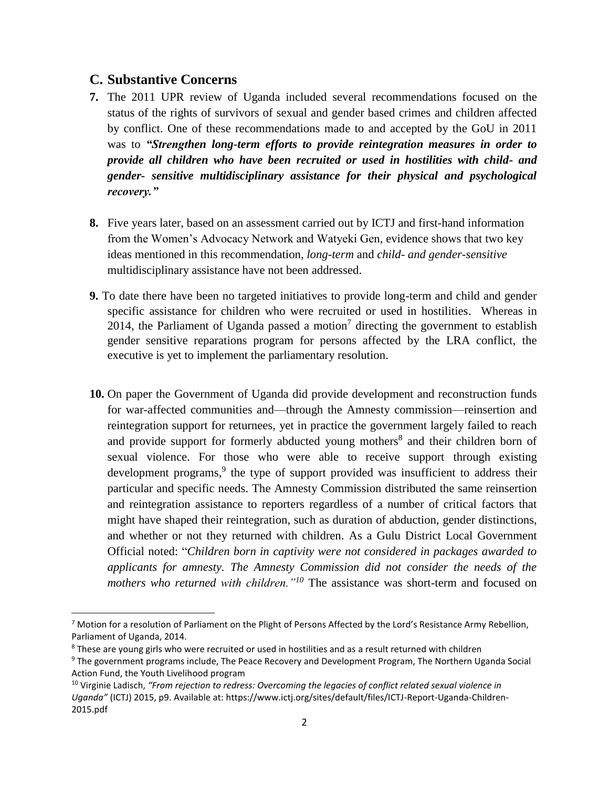#### **C. Substantive Concerns**

 $\overline{\phantom{a}}$ 

- **7.** The 2011 UPR review of Uganda included several recommendations focused on the status of the rights of survivors of sexual and gender based crimes and children affected by conflict. One of these recommendations made to and accepted by the GoU in 2011 was to *"Strengthen long-term efforts to provide reintegration measures in order to provide all children who have been recruited or used in hostilities with child- and gender- sensitive multidisciplinary assistance for their physical and psychological recovery."*
- **8.** Five years later, based on an assessment carried out by ICTJ and first-hand information from the Women's Advocacy Network and Watyeki Gen, evidence shows that two key ideas mentioned in this recommendation, *long-term* and *child- and gender-sensitive* multidisciplinary assistance have not been addressed.
- **9.** To date there have been no targeted initiatives to provide long-term and child and gender specific assistance for children who were recruited or used in hostilities. Whereas in 2014, the Parliament of Uganda passed a motion<sup>7</sup> directing the government to establish gender sensitive reparations program for persons affected by the LRA conflict, the executive is yet to implement the parliamentary resolution.
- **10.** On paper the Government of Uganda did provide development and reconstruction funds for war-affected communities and—through the Amnesty commission—reinsertion and reintegration support for returnees, yet in practice the government largely failed to reach and provide support for formerly abducted young mothers<sup>8</sup> and their children born of sexual violence. For those who were able to receive support through existing development programs,<sup>9</sup> the type of support provided was insufficient to address their particular and specific needs. The Amnesty Commission distributed the same reinsertion and reintegration assistance to reporters regardless of a number of critical factors that might have shaped their reintegration, such as duration of abduction, gender distinctions, and whether or not they returned with children. As a Gulu District Local Government Official noted: "*Children born in captivity were not considered in packages awarded to applicants for amnesty. The Amnesty Commission did not consider the needs of the mothers who returned with children."<sup>10</sup>* The assistance was short-term and focused on

 $7$  Motion for a resolution of Parliament on the Plight of Persons Affected by the Lord's Resistance Army Rebellion, Parliament of Uganda, 2014.

<sup>&</sup>lt;sup>8</sup> These are young girls who were recruited or used in hostilities and as a result returned with children

<sup>9</sup> The government programs include, The Peace Recovery and Development Program, The Northern Uganda Social Action Fund, the Youth Livelihood program

<sup>10</sup> Virginie Ladisch, *"From rejection to redress: Overcoming the legacies of conflict related sexual violence in Uganda"* (ICTJ) 2015, p9. Available at: https://www.ictj.org/sites/default/files/ICTJ-Report-Uganda-Children-2015.pdf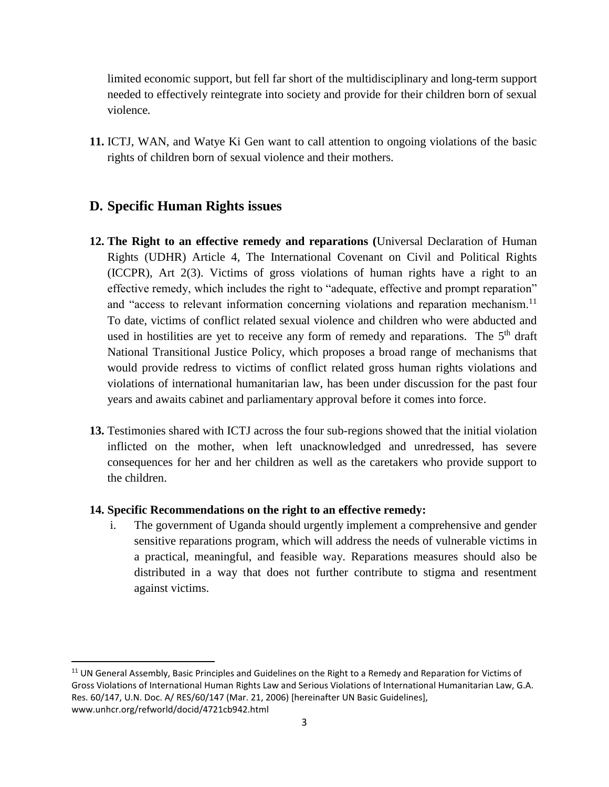limited economic support, but fell far short of the multidisciplinary and long-term support needed to effectively reintegrate into society and provide for their children born of sexual violence*.*

**11.** ICTJ, WAN, and Watye Ki Gen want to call attention to ongoing violations of the basic rights of children born of sexual violence and their mothers.

## **D. Specific Human Rights issues**

 $\overline{a}$ 

- **12. The Right to an effective remedy and reparations (**Universal Declaration of Human Rights (UDHR) Article 4, The International Covenant on Civil and Political Rights (ICCPR), Art 2(3). Victims of gross violations of human rights have a right to an effective remedy, which includes the right to "adequate, effective and prompt reparation" and "access to relevant information concerning violations and reparation mechanism.<sup>11</sup> To date, victims of conflict related sexual violence and children who were abducted and used in hostilities are yet to receive any form of remedy and reparations. The 5<sup>th</sup> draft National Transitional Justice Policy, which proposes a broad range of mechanisms that would provide redress to victims of conflict related gross human rights violations and violations of international humanitarian law, has been under discussion for the past four years and awaits cabinet and parliamentary approval before it comes into force.
- **13.** Testimonies shared with ICTJ across the four sub-regions showed that the initial violation inflicted on the mother, when left unacknowledged and unredressed, has severe consequences for her and her children as well as the caretakers who provide support to the children.

#### **14. Specific Recommendations on the right to an effective remedy:**

i. The government of Uganda should urgently implement a comprehensive and gender sensitive reparations program, which will address the needs of vulnerable victims in a practical, meaningful, and feasible way. Reparations measures should also be distributed in a way that does not further contribute to stigma and resentment against victims.

<sup>&</sup>lt;sup>11</sup> UN General Assembly, Basic Principles and Guidelines on the Right to a Remedy and Reparation for Victims of Gross Violations of International Human Rights Law and Serious Violations of International Humanitarian Law, G.A. Res. 60/147, U.N. Doc. A/ RES/60/147 (Mar. 21, 2006) [hereinafter UN Basic Guidelines], www.unhcr.org/refworld/docid/4721cb942.html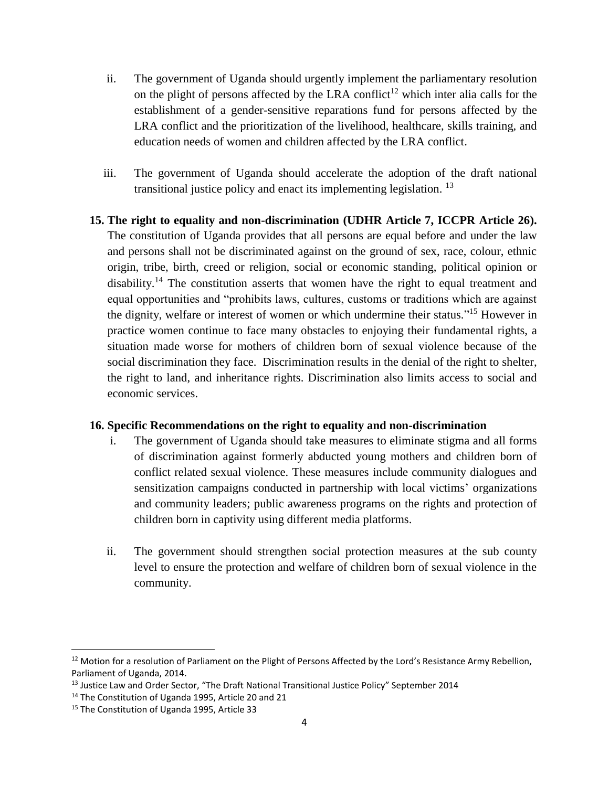- ii. The government of Uganda should urgently implement the parliamentary resolution on the plight of persons affected by the LRA conflict<sup>12</sup> which inter alia calls for the establishment of a gender-sensitive reparations fund for persons affected by the LRA conflict and the prioritization of the livelihood, healthcare, skills training, and education needs of women and children affected by the LRA conflict.
- iii. The government of Uganda should accelerate the adoption of the draft national transitional justice policy and enact its implementing legislation. <sup>13</sup>
- **15. The right to equality and non-discrimination (UDHR Article 7, ICCPR Article 26).** The constitution of Uganda provides that all persons are equal before and under the law and persons shall not be discriminated against on the ground of sex, race, colour, ethnic origin, tribe, birth, creed or religion, social or economic standing, political opinion or disability.<sup>14</sup> The constitution asserts that women have the right to equal treatment and equal opportunities and "prohibits laws, cultures, customs or traditions which are against the dignity, welfare or interest of women or which undermine their status." <sup>15</sup> However in practice women continue to face many obstacles to enjoying their fundamental rights, a situation made worse for mothers of children born of sexual violence because of the social discrimination they face. Discrimination results in the denial of the right to shelter, the right to land, and inheritance rights. Discrimination also limits access to social and economic services.

#### **16. Specific Recommendations on the right to equality and non-discrimination**

- i. The government of Uganda should take measures to eliminate stigma and all forms of discrimination against formerly abducted young mothers and children born of conflict related sexual violence. These measures include community dialogues and sensitization campaigns conducted in partnership with local victims' organizations and community leaders; public awareness programs on the rights and protection of children born in captivity using different media platforms.
- ii. The government should strengthen social protection measures at the sub county level to ensure the protection and welfare of children born of sexual violence in the community.

l

<sup>&</sup>lt;sup>12</sup> Motion for a resolution of Parliament on the Plight of Persons Affected by the Lord's Resistance Army Rebellion, Parliament of Uganda, 2014.

<sup>&</sup>lt;sup>13</sup> Justice Law and Order Sector, "The Draft National Transitional Justice Policy" September 2014

<sup>14</sup> The Constitution of Uganda 1995, Article 20 and 21

<sup>15</sup> The Constitution of Uganda 1995, Article 33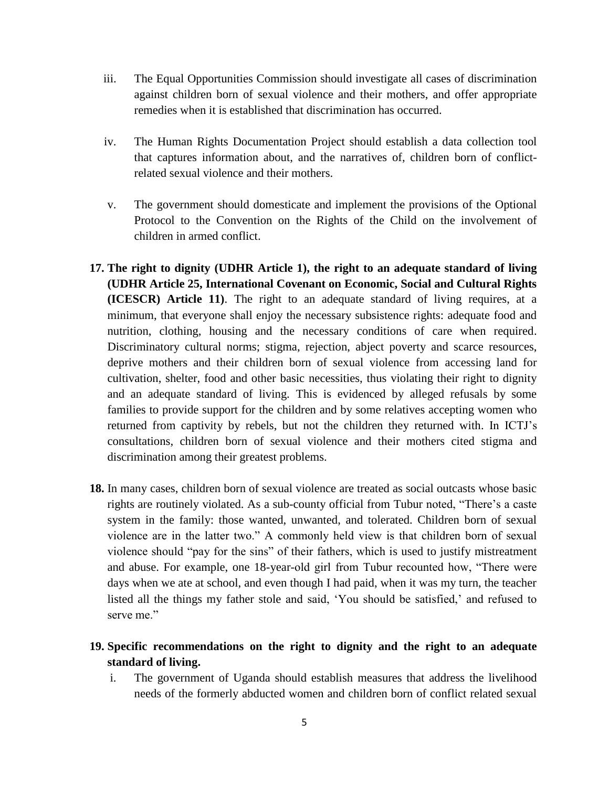- iii. The Equal Opportunities Commission should investigate all cases of discrimination against children born of sexual violence and their mothers, and offer appropriate remedies when it is established that discrimination has occurred.
- iv. The Human Rights Documentation Project should establish a data collection tool that captures information about, and the narratives of, children born of conflictrelated sexual violence and their mothers.
- v. The government should domesticate and implement the provisions of the Optional Protocol to the Convention on the Rights of the Child on the involvement of children in armed conflict.
- **17. The right to dignity (UDHR Article 1), the right to an adequate standard of living (UDHR Article 25, International Covenant on Economic, Social and Cultural Rights (ICESCR) Article 11)**. The right to an adequate standard of living requires, at a minimum, that everyone shall enjoy the necessary subsistence rights: adequate food and nutrition, clothing, housing and the necessary conditions of care when required. Discriminatory cultural norms; stigma, rejection, abject poverty and scarce resources, deprive mothers and their children born of sexual violence from accessing land for cultivation, shelter, food and other basic necessities, thus violating their right to dignity and an adequate standard of living. This is evidenced by alleged refusals by some families to provide support for the children and by some relatives accepting women who returned from captivity by rebels, but not the children they returned with. In ICTJ's consultations, children born of sexual violence and their mothers cited stigma and discrimination among their greatest problems.
- **18.** In many cases, children born of sexual violence are treated as social outcasts whose basic rights are routinely violated. As a sub-county official from Tubur noted, "There's a caste system in the family: those wanted, unwanted, and tolerated. Children born of sexual violence are in the latter two." A commonly held view is that children born of sexual violence should "pay for the sins" of their fathers, which is used to justify mistreatment and abuse. For example, one 18-year-old girl from Tubur recounted how, "There were days when we ate at school, and even though I had paid, when it was my turn, the teacher listed all the things my father stole and said, 'You should be satisfied,' and refused to serve me"

## **19. Specific recommendations on the right to dignity and the right to an adequate standard of living.**

i. The government of Uganda should establish measures that address the livelihood needs of the formerly abducted women and children born of conflict related sexual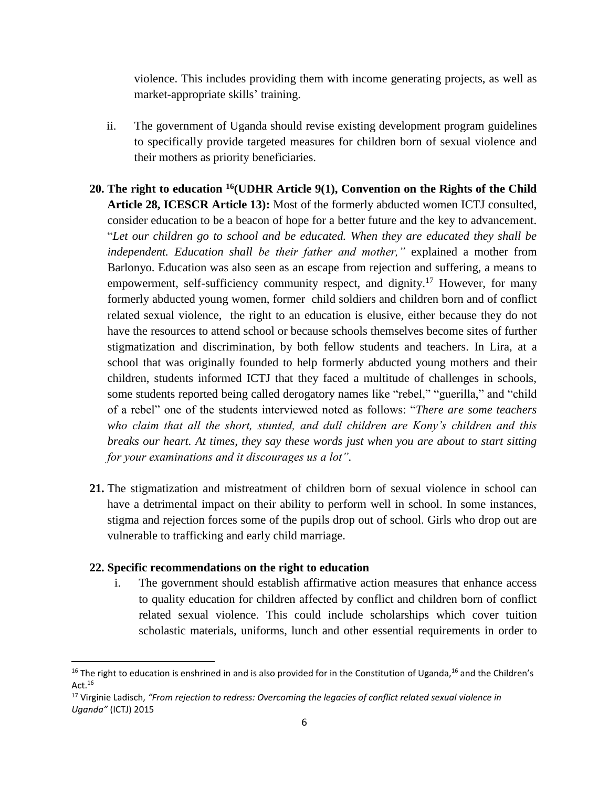violence. This includes providing them with income generating projects, as well as market-appropriate skills' training.

- ii. The government of Uganda should revise existing development program guidelines to specifically provide targeted measures for children born of sexual violence and their mothers as priority beneficiaries.
- **20. The right to education <sup>16</sup>(UDHR Article 9(1), Convention on the Rights of the Child Article 28, ICESCR Article 13):** Most of the formerly abducted women ICTJ consulted, consider education to be a beacon of hope for a better future and the key to advancement. "*Let our children go to school and be educated. When they are educated they shall be independent. Education shall be their father and mother,"* explained a mother from Barlonyo. Education was also seen as an escape from rejection and suffering, a means to empowerment, self-sufficiency community respect, and dignity.<sup>17</sup> However, for many formerly abducted young women, former child soldiers and children born and of conflict related sexual violence, the right to an education is elusive, either because they do not have the resources to attend school or because schools themselves become sites of further stigmatization and discrimination, by both fellow students and teachers. In Lira, at a school that was originally founded to help formerly abducted young mothers and their children, students informed ICTJ that they faced a multitude of challenges in schools, some students reported being called derogatory names like "rebel," "guerilla," and "child of a rebel" one of the students interviewed noted as follows: "*There are some teachers who claim that all the short, stunted, and dull children are Kony's children and this breaks our heart. At times, they say these words just when you are about to start sitting for your examinations and it discourages us a lot".*
- **21.** The stigmatization and mistreatment of children born of sexual violence in school can have a detrimental impact on their ability to perform well in school. In some instances, stigma and rejection forces some of the pupils drop out of school. Girls who drop out are vulnerable to trafficking and early child marriage.

#### **22. Specific recommendations on the right to education**

 $\overline{a}$ 

i. The government should establish affirmative action measures that enhance access to quality education for children affected by conflict and children born of conflict related sexual violence. This could include scholarships which cover tuition scholastic materials, uniforms, lunch and other essential requirements in order to

<sup>&</sup>lt;sup>16</sup> The right to education is enshrined in and is also provided for in the Constitution of Uganda,<sup>16</sup> and the Children's Act.<sup>16</sup>

<sup>17</sup> Virginie Ladisch, *"From rejection to redress: Overcoming the legacies of conflict related sexual violence in Uganda"* (ICTJ) 2015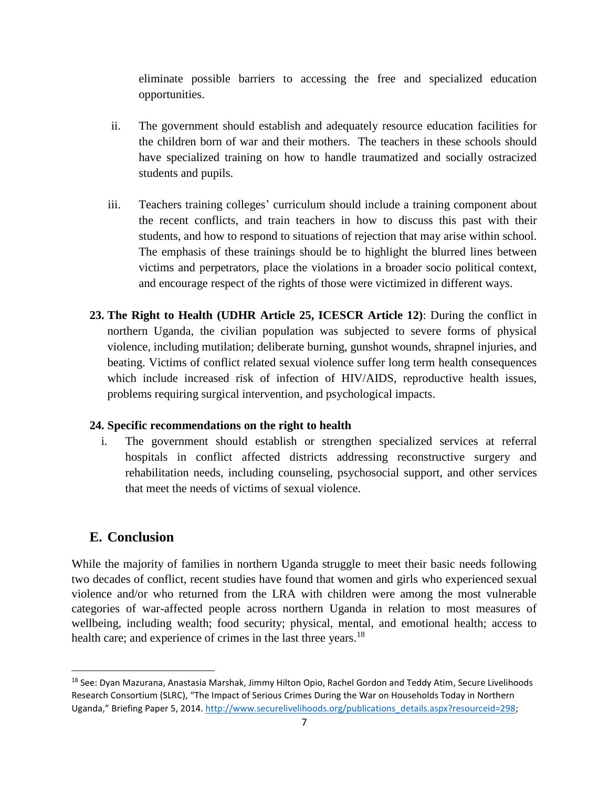eliminate possible barriers to accessing the free and specialized education opportunities.

- ii. The government should establish and adequately resource education facilities for the children born of war and their mothers. The teachers in these schools should have specialized training on how to handle traumatized and socially ostracized students and pupils.
- iii. Teachers training colleges' curriculum should include a training component about the recent conflicts, and train teachers in how to discuss this past with their students, and how to respond to situations of rejection that may arise within school. The emphasis of these trainings should be to highlight the blurred lines between victims and perpetrators, place the violations in a broader socio political context, and encourage respect of the rights of those were victimized in different ways.
- **23. The Right to Health (UDHR Article 25, ICESCR Article 12)**: During the conflict in northern Uganda, the civilian population was subjected to severe forms of physical violence, including mutilation; deliberate burning, gunshot wounds, shrapnel injuries, and beating. Victims of conflict related sexual violence suffer long term health consequences which include increased risk of infection of HIV/AIDS, reproductive health issues, problems requiring surgical intervention, and psychological impacts.

#### **24. Specific recommendations on the right to health**

i. The government should establish or strengthen specialized services at referral hospitals in conflict affected districts addressing reconstructive surgery and rehabilitation needs, including counseling, psychosocial support, and other services that meet the needs of victims of sexual violence.

## **E. Conclusion**

 $\overline{a}$ 

While the majority of families in northern Uganda struggle to meet their basic needs following two decades of conflict, recent studies have found that women and girls who experienced sexual violence and/or who returned from the LRA with children were among the most vulnerable categories of war-affected people across northern Uganda in relation to most measures of wellbeing, including wealth; food security; physical, mental, and emotional health; access to health care; and experience of crimes in the last three years.<sup>18</sup>

<sup>18</sup> See: Dyan Mazurana, Anastasia Marshak, Jimmy Hilton Opio, Rachel Gordon and Teddy Atim, Secure Livelihoods Research Consortium (SLRC), "The Impact of Serious Crimes During the War on Households Today in Northern Uganda," Briefing Paper 5, 2014. [http://www.securelivelihoods.org/publications\\_details.aspx?resourceid=298;](http://www.securelivelihoods.org/publications_details.aspx?resourceid=298)